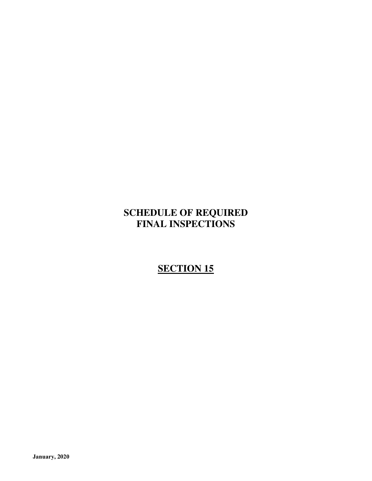# **SCHEDULE OF REQUIRED FINAL INSPECTIONS**

# **SECTION 15**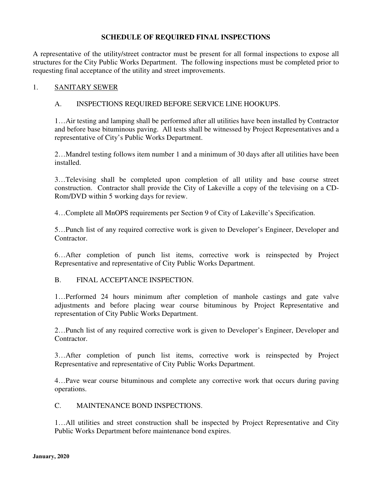# **SCHEDULE OF REQUIRED FINAL INSPECTIONS**

A representative of the utility/street contractor must be present for all formal inspections to expose all structures for the City Public Works Department. The following inspections must be completed prior to requesting final acceptance of the utility and street improvements.

#### 1. SANITARY SEWER

#### A. INSPECTIONS REQUIRED BEFORE SERVICE LINE HOOKUPS.

1…Air testing and lamping shall be performed after all utilities have been installed by Contractor and before base bituminous paving. All tests shall be witnessed by Project Representatives and a representative of City's Public Works Department.

2…Mandrel testing follows item number 1 and a minimum of 30 days after all utilities have been installed.

3…Televising shall be completed upon completion of all utility and base course street construction. Contractor shall provide the City of Lakeville a copy of the televising on a CD-Rom/DVD within 5 working days for review.

4…Complete all MnOPS requirements per Section 9 of City of Lakeville's Specification.

5…Punch list of any required corrective work is given to Developer's Engineer, Developer and Contractor.

6…After completion of punch list items, corrective work is reinspected by Project Representative and representative of City Public Works Department.

#### B. FINAL ACCEPTANCE INSPECTION.

1…Performed 24 hours minimum after completion of manhole castings and gate valve adjustments and before placing wear course bituminous by Project Representative and representation of City Public Works Department.

2…Punch list of any required corrective work is given to Developer's Engineer, Developer and Contractor.

3…After completion of punch list items, corrective work is reinspected by Project Representative and representative of City Public Works Department.

4…Pave wear course bituminous and complete any corrective work that occurs during paving operations.

# C. MAINTENANCE BOND INSPECTIONS.

1…All utilities and street construction shall be inspected by Project Representative and City Public Works Department before maintenance bond expires.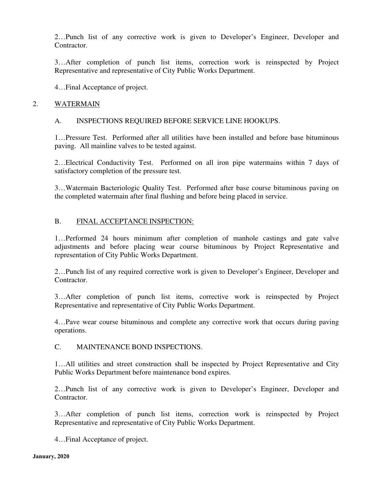2…Punch list of any corrective work is given to Developer's Engineer, Developer and Contractor.

3…After completion of punch list items, correction work is reinspected by Project Representative and representative of City Public Works Department.

4…Final Acceptance of project.

#### 2. WATERMAIN

# A. INSPECTIONS REQUIRED BEFORE SERVICE LINE HOOKUPS.

1…Pressure Test. Performed after all utilities have been installed and before base bituminous paving. All mainline valves to be tested against.

2…Electrical Conductivity Test. Performed on all iron pipe watermains within 7 days of satisfactory completion of the pressure test.

3…Watermain Bacteriologic Quality Test. Performed after base course bituminous paving on the completed watermain after final flushing and before being placed in service.

# B. FINAL ACCEPTANCE INSPECTION:

1…Performed 24 hours minimum after completion of manhole castings and gate valve adjustments and before placing wear course bituminous by Project Representative and representation of City Public Works Department.

2…Punch list of any required corrective work is given to Developer's Engineer, Developer and Contractor.

3…After completion of punch list items, corrective work is reinspected by Project Representative and representative of City Public Works Department.

4…Pave wear course bituminous and complete any corrective work that occurs during paving operations.

#### C. MAINTENANCE BOND INSPECTIONS.

1…All utilities and street construction shall be inspected by Project Representative and City Public Works Department before maintenance bond expires.

2…Punch list of any corrective work is given to Developer's Engineer, Developer and Contractor.

3…After completion of punch list items, correction work is reinspected by Project Representative and representative of City Public Works Department.

4…Final Acceptance of project.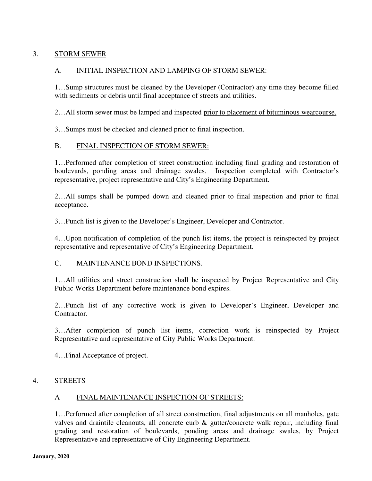# 3. STORM SEWER

# A. INITIAL INSPECTION AND LAMPING OF STORM SEWER:

1…Sump structures must be cleaned by the Developer (Contractor) any time they become filled with sediments or debris until final acceptance of streets and utilities.

2…All storm sewer must be lamped and inspected prior to placement of bituminous wearcourse.

3…Sumps must be checked and cleaned prior to final inspection.

# B. FINAL INSPECTION OF STORM SEWER:

1…Performed after completion of street construction including final grading and restoration of boulevards, ponding areas and drainage swales. Inspection completed with Contractor's representative, project representative and City's Engineering Department.

2…All sumps shall be pumped down and cleaned prior to final inspection and prior to final acceptance.

3…Punch list is given to the Developer's Engineer, Developer and Contractor.

4…Upon notification of completion of the punch list items, the project is reinspected by project representative and representative of City's Engineering Department.

#### C. MAINTENANCE BOND INSPECTIONS.

1…All utilities and street construction shall be inspected by Project Representative and City Public Works Department before maintenance bond expires.

2…Punch list of any corrective work is given to Developer's Engineer, Developer and Contractor.

3…After completion of punch list items, correction work is reinspected by Project Representative and representative of City Public Works Department.

4…Final Acceptance of project.

#### 4. STREETS

#### A FINAL MAINTENANCE INSPECTION OF STREETS:

1…Performed after completion of all street construction, final adjustments on all manholes, gate valves and draintile cleanouts, all concrete curb & gutter/concrete walk repair, including final grading and restoration of boulevards, ponding areas and drainage swales, by Project Representative and representative of City Engineering Department.